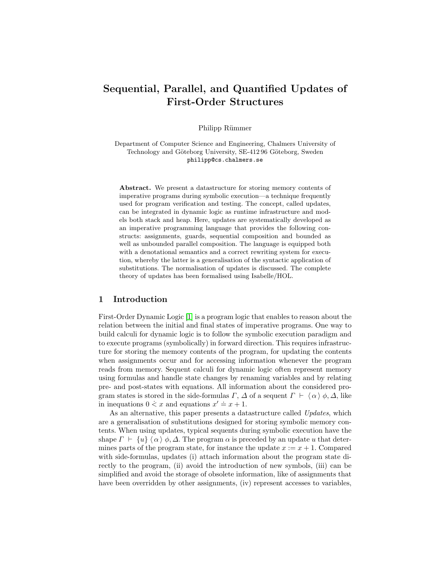# Sequential, Parallel, and Quantified Updates of First-Order Structures

Philipp Rümmer

Department of Computer Science and Engineering, Chalmers University of Technology and Göteborg University, SE-412 96 Göteborg, Sweden philipp@cs.chalmers.se

Abstract. We present a datastructure for storing memory contents of imperative programs during symbolic execution—a technique frequently used for program verification and testing. The concept, called updates, can be integrated in dynamic logic as runtime infrastructure and models both stack and heap. Here, updates are systematically developed as an imperative programming language that provides the following constructs: assignments, guards, sequential composition and bounded as well as unbounded parallel composition. The language is equipped both with a denotational semantics and a correct rewriting system for execution, whereby the latter is a generalisation of the syntactic application of substitutions. The normalisation of updates is discussed. The complete theory of updates has been formalised using Isabelle/HOL.

#### 1 Introduction

First-Order Dynamic Logic [\[1\]](#page-14-0) is a program logic that enables to reason about the relation between the initial and final states of imperative programs. One way to build calculi for dynamic logic is to follow the symbolic execution paradigm and to execute programs (symbolically) in forward direction. This requires infrastructure for storing the memory contents of the program, for updating the contents when assignments occur and for accessing information whenever the program reads from memory. Sequent calculi for dynamic logic often represent memory using formulas and handle state changes by renaming variables and by relating pre- and post-states with equations. All information about the considered program states is stored in the side-formulas  $\Gamma$ ,  $\Delta$  of a sequent  $\Gamma \vdash \langle \alpha \rangle \phi, \Delta$ , like in inequations  $0 \le x$  and equations  $x' = x + 1$ .

As an alternative, this paper presents a datastructure called Updates, which are a generalisation of substitutions designed for storing symbolic memory contents. When using updates, typical sequents during symbolic execution have the shape  $\Gamma \vdash \{u\} \langle \alpha \rangle \phi, \Delta$ . The program  $\alpha$  is preceded by an update u that determines parts of the program state, for instance the update  $x := x + 1$ . Compared with side-formulas, updates (i) attach information about the program state directly to the program, (ii) avoid the introduction of new symbols, (iii) can be simplified and avoid the storage of obsolete information, like of assignments that have been overridden by other assignments, (iv) represent accesses to variables,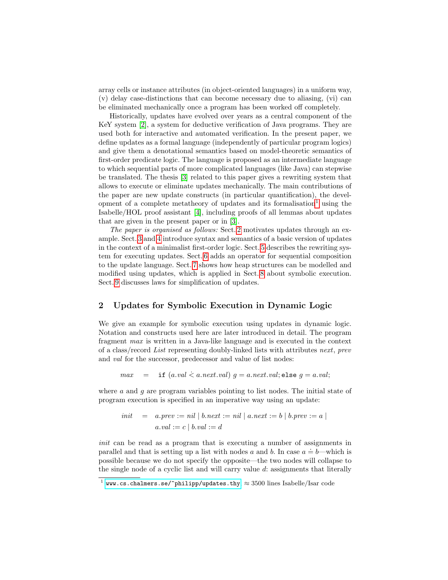array cells or instance attributes (in object-oriented languages) in a uniform way, (v) delay case-distinctions that can become necessary due to aliasing, (vi) can be eliminated mechanically once a program has been worked off completely.

Historically, updates have evolved over years as a central component of the KeY system [\[2\]](#page-14-1), a system for deductive verification of Java programs. They are used both for interactive and automated verification. In the present paper, we define updates as a formal language (independently of particular program logics) and give them a denotational semantics based on model-theoretic semantics of first-order predicate logic. The language is proposed as an intermediate language to which sequential parts of more complicated languages (like Java) can stepwise be translated. The thesis [\[3\]](#page-14-2) related to this paper gives a rewriting system that allows to execute or eliminate updates mechanically. The main contributions of the paper are new update constructs (in particular quantification), the devel-opment of a complete metatheory of updates and its formalisation<sup>[1](#page-1-0)</sup> using the Isabelle/HOL proof assistant [\[4\]](#page-14-3), including proofs of all lemmas about updates that are given in the present paper or in [\[3\]](#page-14-2).

The paper is organised as follows: Sect. [2](#page-1-1) motivates updates through an example. Sect. [3](#page-2-0) and [4](#page-3-0) introduce syntax and semantics of a basic version of updates in the context of a minimalist first-order logic. Sect. [5](#page-7-0) describes the rewriting system for executing updates. Sect. [6](#page-8-0) adds an operator for sequential composition to the update language. Sect. [7](#page-9-0) shows how heap structures can be modelled and modified using updates, which is applied in Sect. [8](#page-11-0) about symbolic execution. Sect. [9](#page-12-0) discusses laws for simplification of updates.

# <span id="page-1-1"></span>2 Updates for Symbolic Execution in Dynamic Logic

We give an example for symbolic execution using updates in dynamic logic. Notation and constructs used here are later introduced in detail. The program fragment max is written in a Java-like language and is executed in the context of a class/record List representing doubly-linked lists with attributes next, prev and *val* for the successor, predecessor and value of list nodes:

 $max =$  if  $(a.val \le a.next.val)$   $g = a.next.val;$ else  $g = a.val;$ 

where  $a$  and  $g$  are program variables pointing to list nodes. The initial state of program execution is specified in an imperative way using an update:

$$
init = a.prev := nil | b.next := nil | a.next := b | b.prev := a | a.val := c | b.val := d
$$

init can be read as a program that is executing a number of assignments in parallel and that is setting up a list with nodes a and b. In case  $a = b$ —which is possible because we do not specify the opposite—the two nodes will collapse to the single node of a cyclic list and will carry value  $d$ : assignments that literally

<span id="page-1-0"></span> $^1$  <www.cs.chalmers.se/~philipp/updates.thy>,  $\approx 3500$  lines Isabelle/Isar code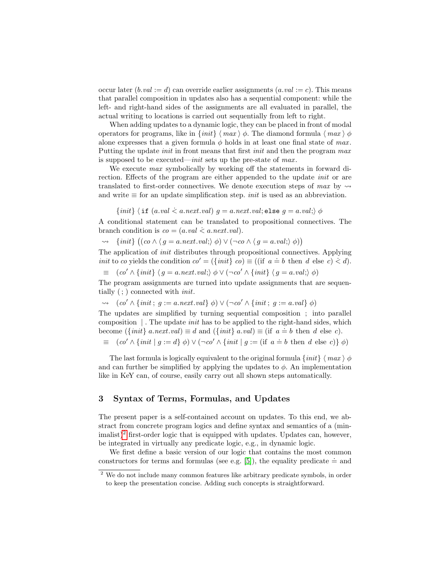occur later  $(b.val := d)$  can override earlier assignments  $(a.val := c)$ . This means that parallel composition in updates also has a sequential component: while the left- and right-hand sides of the assignments are all evaluated in parallel, the actual writing to locations is carried out sequentially from left to right.

When adding updates to a dynamic logic, they can be placed in front of modal operators for programs, like in  $\{init\} \langle max \rangle \phi$ . The diamond formula  $\langle max \rangle \phi$ alone expresses that a given formula  $\phi$  holds in at least one final state of max. Putting the update *init* in front means that first *init* and then the program max is supposed to be executed—*init* sets up the pre-state of  $max$ .

We execute *max* symbolically by working off the statements in forward direction. Effects of the program are either appended to the update init or are translated to first-order connectives. We denote execution steps of max by  $\rightsquigarrow$ and write  $\equiv$  for an update simplification step. *init* is used as an abbreviation.

 $\{init\}$   $\langle$  if  $(a.val \le a.next.val)$   $g = a.next.val;$  else  $g = a.val;$ )  $\phi$ 

A conditional statement can be translated to propositional connectives. The branch condition is  $co = (a.val \le a.next.val)$ .

$$
\rightsquigarrow \{init\} ((co \land (g = a.next.val; ) \phi) \lor (\neg co \land (g = a.val; ) \phi))
$$

The application of init distributes through propositional connectives. Applying init to co yields the condition  $co' = (\{init\} \ co) \equiv ((if \ a \doteq b \ then \ d \ else \ c) \doteq d).$ 

 $\equiv$   $\left(\frac{co'}{\wedge \{init\}}\right)\left\langle g = a.next.val.\right\rangle \phi \vee \left(\neg co' \wedge \{init\}\right)\left\langle g = a.val.\right\rangle \phi$ 

The program assignments are turned into update assignments that are sequentially ( ; ) connected with init.

$$
\rightsquigarrow (co' \wedge \{init; g := a.next.val\} \phi) \vee (\neg co' \wedge \{init; g := a.val\} \phi)
$$

The updates are simplified by turning sequential composition ; into parallel composition  $\vert$ . The update *init* has to be applied to the right-hand sides, which become  $({init} \ a.next.val) \equiv d$  and  $({init} \ a val) \equiv (if \ a \doteq b \ then \ d \ else \ c).$ 

$$
\equiv (c\omicron' \land \{init \mid g := d\} \phi) \lor (\neg c\omicron' \land \{init \mid g := (\text{if } a = b \text{ then } d \text{ else } c)\}\phi)
$$

The last formula is logically equivalent to the original formula  $\{init\}$   $\langle max \rangle \phi$ and can further be simplified by applying the updates to  $\phi$ . An implementation like in KeY can, of course, easily carry out all shown steps automatically.

## <span id="page-2-0"></span>3 Syntax of Terms, Formulas, and Updates

The present paper is a self-contained account on updates. To this end, we abstract from concrete program logics and define syntax and semantics of a (min- $\text{imalist}$ <sup>[2](#page-2-1)</sup> first-order logic that is equipped with updates. Updates can, however, be integrated in virtually any predicate logic, e.g., in dynamic logic.

We first define a basic version of our logic that contains the most common constructors for terms and formulas (see e.g. [\[5\]](#page-14-4)), the equality predicate  $\dot{=}$  and

<span id="page-2-1"></span><sup>2</sup> We do not include many common features like arbitrary predicate symbols, in order to keep the presentation concise. Adding such concepts is straightforward.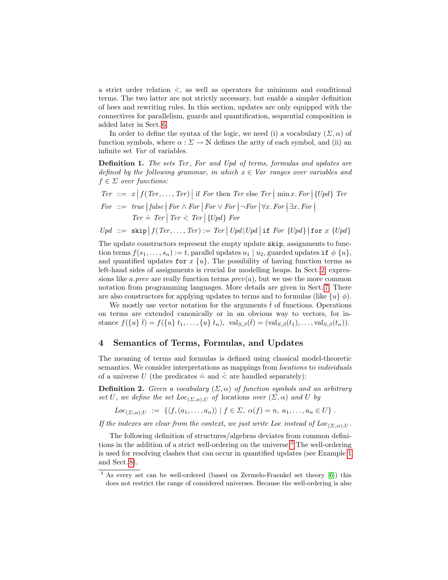a strict order relation  $\dot{\le}$ , as well as operators for minimum and conditional terms. The two latter are not strictly necessary, but enable a simpler definition of laws and rewriting rules. In this section, updates are only equipped with the connectives for parallelism, guards and quantification, sequential composition is added later in Sect. [6.](#page-8-0)

In order to define the syntax of the logic, we need (i) a vocabulary  $(\Sigma, \alpha)$  of function symbols, where  $\alpha : \Sigma \to \mathbb{N}$  defines the arity of each symbol, and (ii) an infinite set Var of variables.

<span id="page-3-2"></span>Definition 1. The sets Ter, For and Upd of terms, formulas and updates are defined by the following grammar, in which  $x \in Var$  ranges over variables and  $f \in \Sigma$  over functions:

*Ter* ::= 
$$
x | f(Ter, ..., Ter)|
$$
 if *For* then *Ter* else *Ter*  $| \min x$ . *For*  $| \{Upd\}$  *Ter*  
\n*For* ::= *true*  $| false | For \land For | For \lor For | \neg For \forall x$ . *For*  $| \exists x$ . *For*  $|$   
\n*Ter* = *Ter*  $| Ter \leq Ter | \{Upd\} For$ 

$$
Upd ::= \text{skip} | f(Ter, \ldots, Ter) := Ter | Upd | Upd | \text{if } For \{Upd\} | \text{for } x \{Upd\}
$$

The update constructors represent the empty update skip, assignments to function terms  $f(s_1, \ldots, s_n) := t$ , parallel updates  $u_1 | u_2$ , guarded updates if  $\phi \{u\}$ , and quantified updates for  $x \{u\}$ . The possibility of having function terms as left-hand sides of assignments is crucial for modelling heaps. In Sect. [2,](#page-1-1) expressions like a.prev are really function terms  $prev(a)$ , but we use the more common notation from programming languages. More details are given in Sect. [7.](#page-9-0) There are also constructors for applying updates to terms and to formulas (like  $\{u\}$   $\phi$ ).

We mostly use vector notation for the arguments  $\bar{t}$  of functions. Operations on terms are extended canonically or in an obvious way to vectors, for instance  $f(\{u\}\,\bar{t}) = f(\{u\}\,\bar{t}_1,\ldots,\{u\}\,\bar{t}_n), \text{ val}_{S,\beta}(\bar{t}) = (\text{val}_{S,\beta}(t_1),\ldots,\text{val}_{S,\beta}(t_n)).$ 

#### <span id="page-3-0"></span>4 Semantics of Terms, Formulas, and Updates

The meaning of terms and formulas is defined using classical model-theoretic semantics. We consider interpretations as mappings from *locations* to *individuals* of a universe U (the predicates  $\dot{=}$  and  $\dot{\le}$  are handled separately):

**Definition 2.** Given a vocabulary  $(\Sigma, \alpha)$  of function symbols and an arbitrary set U, we define the set  $Loc_{(\Sigma,\alpha),U}$  of locations over  $(\Sigma,\alpha)$  and U by

$$
Loc_{(\Sigma,\alpha),U} := \{ \langle f, (a_1,\ldots,a_n) \rangle \mid f \in \Sigma, \ \alpha(f) = n, \ a_1,\ldots,a_n \in U \}.
$$

If the indexes are clear from the context, we just write Loc instead of  $Loc_{(\Sigma,\alpha),U}$ .

The following definition of structures/algebras deviates from common definitions in the addition of a strict well-ordering on the universe.[3](#page-3-1) The well-ordering is used for resolving clashes that can occur in quantified updates (see Example [1](#page-6-0) and Sect. [8\)](#page-11-0).

<span id="page-3-1"></span><sup>&</sup>lt;sup>3</sup> As every set can be well-ordered (based on Zermelo-Fraenkel set theory [\[6\]](#page-14-5)) this does not restrict the range of considered universes. Because the well-ordering is also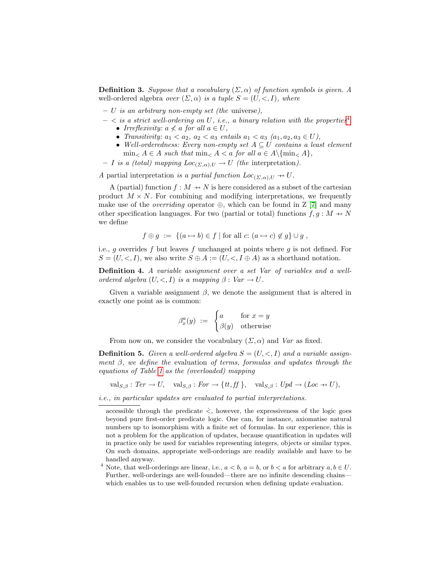**Definition 3.** Suppose that a vocabulary  $(\Sigma, \alpha)$  of function symbols is given. A well-ordered algebra *over*  $(\Sigma, \alpha)$  is a tuple  $S = (U, \langle , I \rangle)$ , where

- $U$  is an arbitrary non-empty set (the universe),
- $<$  is a strict well-ordering on U, i.e., a binary relation with the properties<sup>[4](#page-4-0)</sup> • Irreflexivity:  $a \nless a$  for all  $a \in U$ ,
	- Transitivity:  $a_1 < a_2$ ,  $a_2 < a_3$  entails  $a_1 < a_3$   $(a_1, a_2, a_3 \in U)$ ,
	- Well-orderedness: Every non-empty set  $A \subseteq U$  contains a least element  $\min_{A \in A} A \in A$  such that  $\min_{A \in A} A \in A$  for all  $a \in A \setminus \{ \min_{A} A \}$ ,
- I is a (total) mapping  $Loc_{(\Sigma,\alpha),U} \to U$  (the interpretation).

A partial interpretation is a partial function  $Loc_{(\Sigma,\alpha),U} \rightarrow U$ .

A (partial) function  $f : M \to N$  is here considered as a subset of the cartesian product  $M \times N$ . For combining and modifying interpretations, we frequently make use of the *overriding* operator  $\oplus$ , which can be found in Z [\[7\]](#page-14-6) and many other specification languages. For two (partial or total) functions  $f, g : M \rightarrow N$ we define

$$
f \oplus g := \{(a \mapsto b) \in f \mid \text{for all } c: (a \mapsto c) \notin g\} \cup g
$$
,

i.e., g overrides f but leaves f unchanged at points where g is not defined. For  $S = (U, \leq, I)$ , we also write  $S \oplus A := (U, \leq, I \oplus A)$  as a shorthand notation.

Definition 4. A variable assignment over a set Var of variables and a wellordered algebra  $(U, \leq, I)$  is a mapping  $\beta : Var \rightarrow U$ .

Given a variable assignment  $\beta$ , we denote the assignment that is altered in exactly one point as is common:

$$
\beta_x^a(y) \ := \ \begin{cases} a & \text{for } x = y \\ \beta(y) & \text{otherwise} \end{cases}
$$

From now on, we consider the vocabulary  $(\Sigma, \alpha)$  and Var as fixed.

<span id="page-4-1"></span>**Definition 5.** Given a well-ordered algebra  $S = (U, \langle, I \rangle)$  and a variable assignment  $\beta$ , we define the evaluation of terms, formulas and updates through the equations of Table [1](#page-5-0) as the (overloaded) mapping

 $val_{S,\beta}: Ter \to U$ ,  $val_{S,\beta}: For \to \{tt, ff\},$   $val_{S,\beta}: Upd \to (Loc \to U),$ 

i.e., in particular updates are evaluated to partial interpretations.

 $\overline{\text{accessible}}$  through the predicate  $\dot{\le}$ , however, the expressiveness of the logic goes beyond pure first-order predicate logic. One can, for instance, axiomatise natural numbers up to isomorphism with a finite set of formulas. In our experience, this is not a problem for the application of updates, because quantification in updates will in practice only be used for variables representing integers, objects or similar types. On such domains, appropriate well-orderings are readily available and have to be handled anyway.

<span id="page-4-0"></span><sup>&</sup>lt;sup>4</sup> Note, that well-orderings are linear, i.e.,  $a < b$ ,  $a = b$ , or  $b < a$  for arbitrary  $a, b \in U$ . Further, well-orderings are well-founded—there are no infinite descending chains which enables us to use well-founded recursion when defining update evaluation.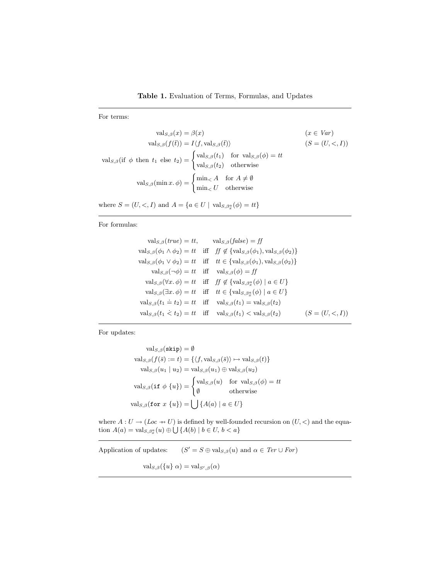<span id="page-5-0"></span>For terms:

$$
\text{val}_{S,\beta}(x) = \beta(x) \qquad (x \in Var)
$$

$$
\text{val}_{S,\beta}(f(\bar{t})) = I \langle f, \text{val}_{S,\beta}(\bar{t}) \rangle \qquad (S = (U, < I))
$$

$$
\text{val}_{S,\beta}(\text{if } \phi \text{ then } t_1 \text{ else } t_2) = \begin{cases} \text{val}_{S,\beta}(t_1) & \text{for } \text{val}_{S,\beta}(\phi) = tt \\ \text{val}_{S,\beta}(t_2) & \text{otherwise} \end{cases}
$$

$$
\text{val}_{S,\beta}(\min x. \phi) = \begin{cases} \min_{<} A & \text{for } A \neq \emptyset \\ \min_{<} U & \text{otherwise} \end{cases}
$$

where  $S = (U, \leq, I)$  and  $A = \{a \in U \mid \text{val}_{S, \beta_x^a}(\phi) = tt\}$ 

For formulas:

$$
\text{val}_{S,\beta}(true) = tt, \quad \text{val}_{S,\beta}(false) = ff
$$
\n
$$
\text{val}_{S,\beta}(\phi_1 \land \phi_2) = tt \quad \text{iff} \quad ff \notin \{\text{val}_{S,\beta}(\phi_1), \text{val}_{S,\beta}(\phi_2)\}
$$
\n
$$
\text{val}_{S,\beta}(\phi_1 \lor \phi_2) = tt \quad \text{iff} \quad tt \in \{\text{val}_{S,\beta}(\phi_1), \text{val}_{S,\beta}(\phi_2)\}
$$
\n
$$
\text{val}_{S,\beta}(\neg \phi) = tt \quad \text{iff} \quad \text{val}_{S,\beta}(\phi) = ff
$$
\n
$$
\text{val}_{S,\beta}(\forall x. \phi) = tt \quad \text{iff} \quad ff \notin \{\text{val}_{S,\beta_x^{\alpha}}(\phi) \mid a \in U\}
$$
\n
$$
\text{val}_{S,\beta}(\exists x. \phi) = tt \quad \text{iff} \quad tt \in \{\text{val}_{S,\beta_x^{\alpha}}(\phi) \mid a \in U\}
$$
\n
$$
\text{val}_{S,\beta}(t_1 \doteq t_2) = tt \quad \text{iff} \quad \text{val}_{S,\beta}(t_1) = \text{val}_{S,\beta}(t_2)
$$
\n
$$
\text{val}_{S,\beta}(t_1 \land t_2) = tt \quad \text{iff} \quad \text{val}_{S,\beta}(t_1) < \text{val}_{S,\beta}(t_2) \qquad (S = (U, <, I))
$$

For updates:

$$
\text{val}_{S,\beta}(\textbf{skip}) = \emptyset
$$
  
\n
$$
\text{val}_{S,\beta}(f(\bar{s}) := t) = \{ \langle f, \text{val}_{S,\beta}(\bar{s}) \rangle \mapsto \text{val}_{S,\beta}(t) \}
$$
  
\n
$$
\text{val}_{S,\beta}(u_1 \mid u_2) = \text{val}_{S,\beta}(u_1) \oplus \text{val}_{S,\beta}(u_2)
$$
  
\n
$$
\text{val}_{S,\beta}(\text{if } \phi \{u\}) = \begin{cases} \text{val}_{S,\beta}(u) & \text{for } \text{val}_{S,\beta}(\phi) = tt \\ \emptyset & \text{otherwise} \end{cases}
$$
  
\n
$$
\text{val}_{S,\beta}(\text{for } x \{u\}) = \bigcup \{A(a) \mid a \in U\}
$$

where  $A: U \to (Loc \to U)$  is defined by well-founded recursion on  $(U, \leq)$  and the equation  $A(a) = \text{val}_{S, \beta_x^a}(u) \oplus \bigcup \{A(b) \mid b \in U, b < a\}$ 

Application of updates:  $(S' = S \oplus \text{val}_{S,\beta}(u) \text{ and } \alpha \in \text{Ter} \cup \text{For})$ 

 $\operatorname{val}_{S,\beta}(\{u\}\alpha) = \operatorname{val}_{S',\beta}(\alpha)$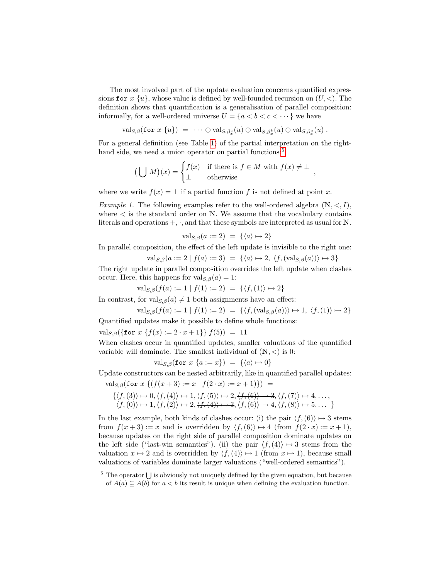The most involved part of the update evaluation concerns quantified expressions for  $x \{u\}$ , whose value is defined by well-founded recursion on  $(U, \leq)$ . The definition shows that quantification is a generalisation of parallel composition: informally, for a well-ordered universe  $U = \{a < b < c < \cdots\}$  we have

$$
\mathrm{val}_{S,\beta}(\texttt{for} \,\, x \,\, \{u\}) \,\, = \,\, \cdots \, \oplus \, \mathrm{val}_{S,\beta_x^c}(u) \oplus \mathrm{val}_{S,\beta_x^b}(u) \oplus \mathrm{val}_{S,\beta_x^a}(u) \; .
$$

For a general definition (see Table [1\)](#page-5-0) of the partial interpretation on the right-hand side, we need a union operator on partial functions:<sup>[5](#page-6-1)</sup>

$$
\left(\bigcup M\right)(x) = \begin{cases} f(x) & \text{if there is } f \in M \text{ with } f(x) \neq \bot \\ \bot & \text{otherwise} \end{cases}
$$

where we write  $f(x) = \perp$  if a partial function f is not defined at point x.

<span id="page-6-0"></span>Example 1. The following examples refer to the well-ordered algebra  $(N, <, I)$ , where  $\lt$  is the standard order on N. We assume that the vocabulary contains literals and operations  $+$ ,  $\cdot$ , and that these symbols are interpreted as usual for N.

$$
\text{val}_{S,\beta}(a := 2) = \{ \langle a \rangle \mapsto 2 \}
$$

In parallel composition, the effect of the left update is invisible to the right one:

$$
\text{val}_{S,\beta}(a := 2 \mid f(a) := 3) = \{ \langle a \rangle \mapsto 2, \langle f, (\text{val}_{S,\beta}(a)) \rangle \mapsto 3 \}
$$

,

The right update in parallel composition overrides the left update when clashes occur. Here, this happens for  $val_{S,\beta}(a) = 1$ :

$$
\text{val}_{S,\beta}(f(a) := 1 \mid f(1) := 2) = \{ \langle f, (1) \rangle \mapsto 2 \}
$$

In contrast, for val $S_{\beta}(a) \neq 1$  both assignments have an effect:

$$
\text{val}_{S,\beta}(f(a) := 1 \mid f(1) := 2) = \{ \langle f, (\text{val}_{S,\beta}(a)) \rangle \mapsto 1, \langle f, (1) \rangle \mapsto 2 \}
$$

Quantified updates make it possible to define whole functions:

 $\text{val}_{S,\beta}(\{\text{for } x \{f(x) := 2 \cdot x + 1\}\} f(5)) = 11$ 

When clashes occur in quantified updates, smaller valuations of the quantified variable will dominate. The smallest individual of  $(N, <)$  is 0:

$$
\text{val}_{S,\beta}(\text{for } x \{a := x\}) = \{\langle a \rangle \mapsto 0\}
$$

Update constructors can be nested arbitrarily, like in quantified parallel updates:

val<sub>S,β</sub>(for  $x \{ (f(x+3) := x | f(2 \cdot x) := x + 1) \}) =$ 

$$
\{\langle f, (3) \rangle \mapsto 0, \langle f, (4) \rangle \mapsto 1, \langle f, (5) \rangle \mapsto 2, \langle f, (6) \rangle \mapsto 3, \langle f, (7) \rangle \mapsto 4, \dots, \\ \langle f, (0) \rangle \mapsto 1, \langle f, (2) \rangle \mapsto 2, \langle f, (4) \rangle \mapsto 3, \langle f, (6) \rangle \mapsto 4, \langle f, (8) \rangle \mapsto 5, \dots \}
$$

In the last example, both kinds of clashes occur: (i) the pair  $\langle f,(6)\rangle \mapsto 3$  stems from  $f(x+3) := x$  and is overridden by  $\langle f,(6) \rangle \mapsto 4$  (from  $f(2 \cdot x) := x + 1$ ), because updates on the right side of parallel composition dominate updates on the left side ("last-win semantics"). (ii) the pair  $\langle f,(4)\rangle \mapsto 3$  stems from the valuation  $x \mapsto 2$  and is overridden by  $\langle f,(4) \rangle \mapsto 1$  (from  $x \mapsto 1$ ), because small valuations of variables dominate larger valuations ("well-ordered semantics").

<span id="page-6-1"></span> $5$  The operator  $\bigcup$  is obviously not uniquely defined by the given equation, but because of  $A(a) \subseteq A(b)$  for  $a < b$  its result is unique when defining the evaluation function.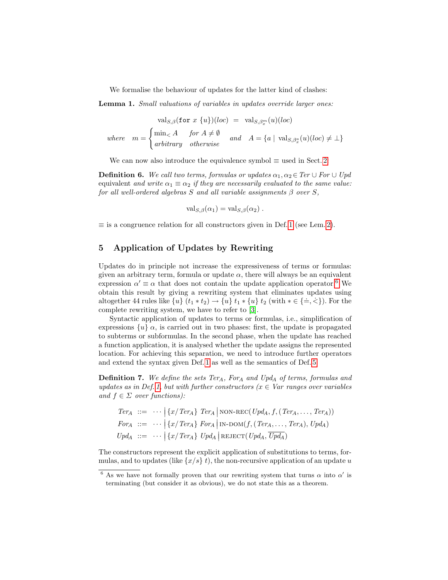We formalise the behaviour of updates for the latter kind of clashes:

Lemma 1. Small valuations of variables in updates override larger ones:

$$
\text{val}_{S,\beta}(\text{for } x \{u\})(loc) = \text{val}_{S,\beta_x^m}(u)(loc)
$$
  
where  $m = \begin{cases} \min_{\leq} A & \text{for } A \neq \emptyset \\ \text{arbitrary} & \text{otherwise} \end{cases}$  and  $A = \{a \mid \text{val}_{S,\beta_x^a}(u)(loc) \neq \bot\}$ 

We can now also introduce the equivalence symbol  $\equiv$  used in Sect. [2:](#page-1-1)

**Definition 6.** We call two terms, formulas or updates  $\alpha_1, \alpha_2 \in \text{Ter}\cup \text{For} \cup \text{Upd}$ equivalent and write  $\alpha_1 \equiv \alpha_2$  if they are necessarily evaluated to the same value: for all well-ordered algebras S and all variable assignments  $\beta$  over S,

<span id="page-7-3"></span>
$$
\mathrm{val}_{S,\beta}(\alpha_1) = \mathrm{val}_{S,\beta}(\alpha_2) .
$$

 $\equiv$  is a congruence relation for all constructors given in Def. [1](#page-3-2) (see Lem. [2\)](#page-8-1).

## <span id="page-7-0"></span>5 Application of Updates by Rewriting

Updates do in principle not increase the expressiveness of terms or formulas: given an arbitrary term, formula or update  $\alpha$ , there will always be an equivalent expression  $\alpha' \equiv \alpha$  that does not contain the update application operator.<sup>[6](#page-7-1)</sup> We obtain this result by giving a rewriting system that eliminates updates using altogether 44 rules like  $\{u\}$   $(t_1 * t_2) \rightarrow \{u\}$   $t_1 * \{u\}$   $t_2$  (with  $* \in \{\doteq, \leq\}$ ). For the complete rewriting system, we have to refer to [\[3\]](#page-14-2).

Syntactic application of updates to terms or formulas, i.e., simplification of expressions  $\{u\}$   $\alpha$ , is carried out in two phases: first, the update is propagated to subterms or subformulas. In the second phase, when the update has reached a function application, it is analysed whether the update assigns the represented location. For achieving this separation, we need to introduce further operators and extend the syntax given Def. [1](#page-3-2) as well as the semantics of Def. [5:](#page-4-1)

<span id="page-7-2"></span>**Definition 7.** We define the sets Ter<sub>A</sub>, For<sub>A</sub> and Upd<sub>A</sub> of terms, formulas and updates as in Def. [1,](#page-3-2) but with further constructors ( $x \in Var$  ranges over variables and  $f \in \Sigma$  over functions):

\n
$$
\text{Ter}_A := \cdots \mid \{x/\text{Ter}_A\} \text{ Ter}_A \mid \text{NON-REC}(\text{Upd}_A, f, (\text{Ter}_A, \ldots, \text{Ter}_A))
$$
\n

\n\n $\text{For}_A := \cdots \mid \{x/\text{Ter}_A\} \text{ For}_A \mid \text{IN-DOM}(f, (\text{Ter}_A, \ldots, \text{Ter}_A), \text{Upd}_A)$ \n

\n\n $\text{Upd}_A := \cdots \mid \{x/\text{Ter}_A\} \text{ Upd}_A \mid \text{REJECT}(\text{Upd}_A, \text{Upd}_A)$ \n

The constructors represent the explicit application of substitutions to terms, formulas, and to updates (like  $\{x/s\}$  t), the non-recursive application of an update u

<span id="page-7-1"></span><sup>&</sup>lt;sup>6</sup> As we have not formally proven that our rewriting system that turns  $\alpha$  into  $\alpha'$  is terminating (but consider it as obvious), we do not state this as a theorem.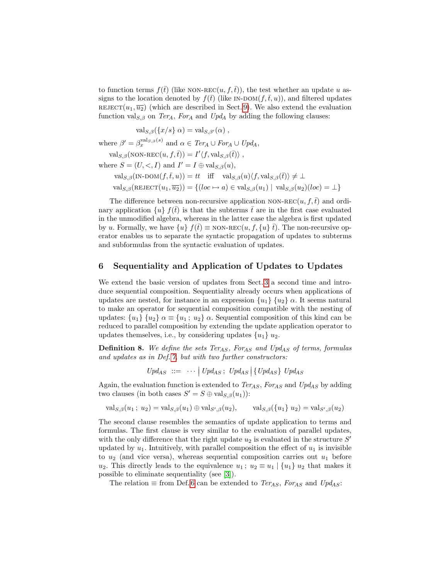to function terms  $f(\bar{t})$  (like NON-REC $(u, f, \bar{t})$ ), the test whether an update u assigns to the location denoted by  $f(\bar{t})$  (like IN-DOM $(f,\bar{t}, u)$ ), and filtered updates REJECT $(u_1, \overline{u_2})$  (which are described in Sect. [9\)](#page-12-0). We also extend the evaluation function val<sub>S, $\beta$ </sub> on Ter<sub>A</sub>, For<sub>A</sub> and Upd<sub>A</sub> by adding the following clauses:

$$
\mathrm{val}_{S,\beta}(\{x/s\} \alpha) = \mathrm{val}_{S,\beta'}(\alpha) ,
$$

where  $\beta' = \beta_x^{\text{val}_{S,\beta}(s)}$  and  $\alpha \in \text{Ter}_A \cup \text{For}_A \cup \text{Upd}_A$ ,

 $\text{val}_{S,\beta}(\text{NON-REC}(u, f, \bar{t})) = I' \langle f, \text{val}_{S,\beta}(\bar{t}) \rangle,$ where  $S = (U, <, I)$  and  $I' = I \oplus \text{val}_{S, \beta}(u)$ ,  $\text{val}_{S,\beta}(\text{IN-DOM}(f,\bar{t}, u)) = tt \text{ iff } \text{val}_{S,\beta}(u)\langle f, \text{val}_{S,\beta}(\bar{t})\rangle \neq \bot$ 

 $\text{val}_{S,\beta}(\text{REJECT}(u_1, \overline{u_2})) = \{(loc \mapsto a) \in \text{val}_{S,\beta}(u_1) \mid \text{val}_{S,\beta}(u_2)(loc) = \bot\}$ 

The difference between non-recursive application NON-REC(u, f,  $\bar{t}$ ) and ordinary application  $\{u\} f(t)$  is that the subterms t are in the first case evaluated in the unmodified algebra, whereas in the latter case the algebra is first updated by u. Formally, we have  $\{u\} f(\overline{t}) \equiv$  NON-REC $(u, f, \{u\} \overline{t})$ . The non-recursive operator enables us to separate the syntactic propagation of updates to subterms and subformulas from the syntactic evaluation of updates.

#### <span id="page-8-0"></span>6 Sequentiality and Application of Updates to Updates

We extend the basic version of updates from Sect. [3](#page-2-0) a second time and introduce sequential composition. Sequentiality already occurs when applications of updates are nested, for instance in an expression  $\{u_1\}$   $\{u_2\}$   $\alpha$ . It seems natural to make an operator for sequential composition compatible with the nesting of updates:  $\{u_1\}$   $\{u_2\}$   $\alpha \equiv \{u_1; u_2\}$   $\alpha$ . Sequential composition of this kind can be reduced to parallel composition by extending the update application operator to updates themselves, i.e., by considering updates  $\{u_1\}$   $u_2$ .

<span id="page-8-2"></span>**Definition 8.** We define the sets Ter<sub>AS</sub>, For<sub>AS</sub> and Upd<sub>AS</sub> of terms, formulas and updates as in Def. [7,](#page-7-2) but with two further constructors:

<span id="page-8-1"></span> $Upd_{AS} :: = \cdots \mid Upd_{AS} ; Upd_{AS} \mid \{ Upd_{AS} \} \text{ } Upd_{AS}$ 

Again, the evaluation function is extended to  $Ter_{AS}$ ,  $For_{AS}$  and  $Up_{AS}$  by adding two clauses (in both cases  $S' = S \oplus \text{val}_{S,\beta}(u_1)$ ):

 $\operatorname{val}_{S,\beta}(u_1; u_2) = \operatorname{val}_{S,\beta}(u_1) \oplus \operatorname{val}_{S',\beta}(u_2),$  $\alpha_{\beta}(u_2)$ ,  $\text{val}_{S,\beta}(\{u_1\} \ u_2) = \text{val}_{S',\beta}(u_2)$ 

The second clause resembles the semantics of update application to terms and formulas. The first clause is very similar to the evaluation of parallel updates, with the only difference that the right update  $u_2$  is evaluated in the structure  $S'$ updated by  $u_1$ . Intuitively, with parallel composition the effect of  $u_1$  is invisible to  $u_2$  (and vice versa), whereas sequential composition carries out  $u_1$  before  $u_2$ . This directly leads to the equivalence  $u_1$ ;  $u_2 \equiv u_1 | \{u_1\} u_2$  that makes it possible to eliminate sequentiality (see [\[3\]](#page-14-2)).

The relation  $\equiv$  from Def. [6](#page-7-3) can be extended to *Ter<sub>AS</sub>*, *For<sub>AS</sub>* and *Upd<sub>AS</sub>*: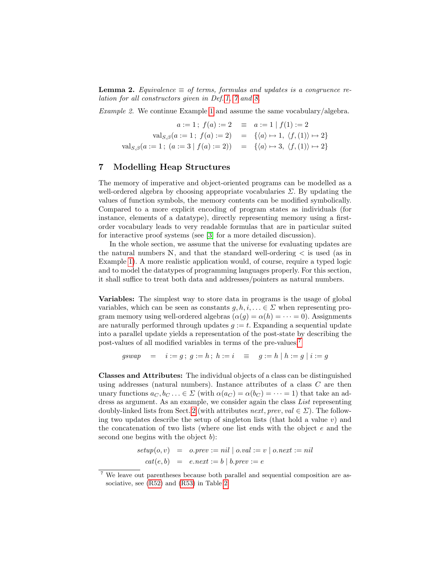**Lemma 2.** Equivalence  $\equiv$  of terms, formulas and updates is a congruence relation for all constructors given in Def. [1,](#page-3-2) [7](#page-7-2) and [8.](#page-8-2)

Example 2. We continue Example [1](#page-6-0) and assume the same vocabulary/algebra.

$$
a := 1; f(a) := 2 \equiv a := 1 | f(1) := 2
$$
  

$$
\text{val}_{S,\beta}(a := 1; f(a) := 2) = \{ \langle a \rangle \mapsto 1, \langle f, (1) \rangle \mapsto 2 \}
$$
  

$$
\text{val}_{S,\beta}(a := 1; (a := 3 | f(a) := 2)) = \{ \langle a \rangle \mapsto 3, \langle f, (1) \rangle \mapsto 2 \}
$$

#### <span id="page-9-0"></span>7 Modelling Heap Structures

The memory of imperative and object-oriented programs can be modelled as a well-ordered algebra by choosing appropriate vocabularies  $\Sigma$ . By updating the values of function symbols, the memory contents can be modified symbolically. Compared to a more explicit encoding of program states as individuals (for instance, elements of a datatype), directly representing memory using a firstorder vocabulary leads to very readable formulas that are in particular suited for interactive proof systems (see [\[3\]](#page-14-2) for a more detailed discussion).

In the whole section, we assume that the universe for evaluating updates are the natural numbers  $\mathbb{N}$ , and that the standard well-ordering  $\lt$  is used (as in Example [1\)](#page-6-0). A more realistic application would, of course, require a typed logic and to model the datatypes of programming languages properly. For this section, it shall suffice to treat both data and addresses/pointers as natural numbers.

Variables: The simplest way to store data in programs is the usage of global variables, which can be seen as constants  $q, h, i, \ldots \in \Sigma$  when representing program memory using well-ordered algebras  $(\alpha(g) = \alpha(h) = \cdots = 0)$ . Assignments are naturally performed through updates  $g := t$ . Expanding a sequential update into a parallel update yields a representation of the post-state by describing the post-values of all modified variables in terms of the pre-values:[7](#page-9-1)

$$
gswap = i := g \, ; \, g := h \, ; \, h := i \quad \equiv \quad g := h \mid h := g \mid i := g
$$

Classes and Attributes: The individual objects of a class can be distinguished using addresses (natural numbers). Instance attributes of a class  $C$  are then unary functions  $a_C, b_C, \ldots \in \Sigma$  (with  $\alpha(a_C) = \alpha(b_C) = \cdots = 1$ ) that take an address as argument. As an example, we consider again the class List representing doubly-linked lists from Sect. [2](#page-1-1) (with attributes *next*, *prev*, *val*  $\in \Sigma$ ). The following two updates describe the setup of singleton lists (that hold a value  $v$ ) and the concatenation of two lists (where one list ends with the object e and the second one begins with the object  $b$ :

$$
setup(o, v) = o. prev := nil | o.val := v | o.next := nil
$$
  

$$
cat(e, b) = e.next := b | b. prev := e
$$

<span id="page-9-1"></span><sup>7</sup> We leave out parentheses because both parallel and sequential composition are associative, see [\(R52\)](#page-12-1) and [\(R53\)](#page-12-2) in Table [2.](#page-12-3)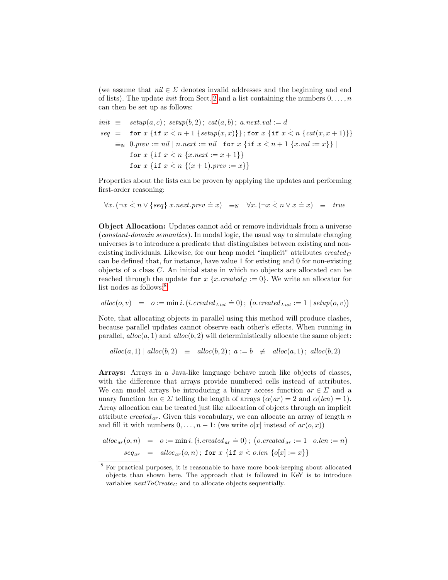(we assume that  $nil \in \Sigma$  denotes invalid addresses and the beginning and end of lists). The update *init* from Sect. [2](#page-1-1) and a list containing the numbers  $0, \ldots, n$ can then be set up as follows:

$$
init \equiv setup(a, c); setup(b, 2); cat(a, b); a.next.val := d
$$
\n
$$
seq = \text{for } x \{ \text{if } x < n+1 \{ setup(x, x) \} \}; \text{for } x \{ \text{if } x < n \{ cat(x, x+1) \} \}
$$
\n
$$
\equiv_N 0. prev := nil \mid n.next := nil \mid \text{for } x \{ \text{if } x < n+1 \{ x.val := x \} \} \mid
$$
\n
$$
\text{for } x \{ \text{if } x < n \{ x + 1 \} \} \mid
$$
\n
$$
\text{for } x \{ \text{if } x < n \{ (x+1). prev := x \} \}
$$

Properties about the lists can be proven by applying the updates and performing first-order reasoning:

 $\forall x. (\neg x \leq n \vee \{seq\} \ x.next.\textit{prev} \doteq x) \equiv_N \ \ \forall x. (\neg x \leq n \vee x \doteq x) \equiv true$ 

Object Allocation: Updates cannot add or remove individuals from a universe (constant-domain semantics). In modal logic, the usual way to simulate changing universes is to introduce a predicate that distinguishes between existing and nonexisting individuals. Likewise, for our heap model "implicit" attributes  $created_C$ can be defined that, for instance, have value 1 for existing and 0 for non-existing objects of a class C. An initial state in which no objects are allocated can be reached through the update for x {x.created  $C := 0$ }. We write an allocator for list nodes as follows:<sup>[8](#page-10-0)</sup>

$$
alloc(o, v) = o := min i.(i.create d_{List} = 0); (o.create d_{List} := 1 | setup(o, v))
$$

Note, that allocating objects in parallel using this method will produce clashes, because parallel updates cannot observe each other's effects. When running in parallel,  $alloc(a, 1)$  and  $alloc(b, 2)$  will deterministically allocate the same object:

$$
alloc(a, 1) |
$$
  $alloc(b, 2) \equiv$   $alloc(b, 2);$   $a := b \not\equiv$   $alloc(a, 1);$   $alloc(b, 2)$ 

Arrays: Arrays in a Java-like language behave much like objects of classes, with the difference that arrays provide numbered cells instead of attributes. We can model arrays be introducing a binary access function  $ar \in \Sigma$  and a unary function  $len \in \Sigma$  telling the length of arrays  $(\alpha(ar) = 2$  and  $\alpha(len) = 1)$ . Array allocation can be treated just like allocation of objects through an implicit attribute created<sub>ar</sub>. Given this vocabulary, we can allocate an array of length n and fill it with numbers  $0, \ldots, n-1$ : (we write  $o[x]$  instead of  $ar(o, x)$ )

$$
alloc_{ar}(o, n) = o := \min i. (i.create_d_x = 0); (o.create_d_x := 1 | o.length = n)
$$

$$
seq_{ar} = alloc_{ar}(o, n); \text{ for } x \{ \text{if } x < o.length \{ o[x] := x \} \}
$$

<span id="page-10-0"></span><sup>8</sup> For practical purposes, it is reasonable to have more book-keeping about allocated objects than shown here. The approach that is followed in KeY is to introduce variables  $nextToCreate_C$  and to allocate objects sequentially.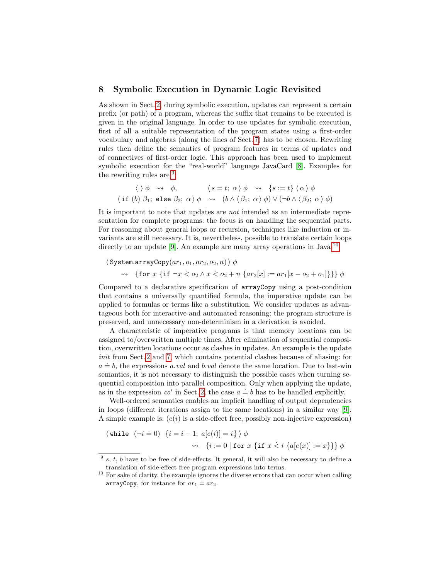## <span id="page-11-0"></span>8 Symbolic Execution in Dynamic Logic Revisited

As shown in Sect. [2,](#page-1-1) during symbolic execution, updates can represent a certain prefix (or path) of a program, whereas the suffix that remains to be executed is given in the original language. In order to use updates for symbolic execution, first of all a suitable representation of the program states using a first-order vocabulary and algebras (along the lines of Sect. [7\)](#page-9-0) has to be chosen. Rewriting rules then define the semantics of program features in terms of updates and of connectives of first-order logic. This approach has been used to implement symbolic execution for the "real-world" language JavaCard [\[8\]](#page-14-7). Examples for the rewriting rules are:[9](#page-11-1)

$$
\langle \ \rangle \phi \ \rightsquigarrow \ \phi, \qquad \langle \ s = t; \ \alpha \ \rangle \phi \ \rightsquigarrow \ \{ s := t \} \ \langle \alpha \rangle \phi
$$
\n
$$
\langle \text{if } (b) \ \beta_1; \ \text{else } \beta_2; \ \alpha \ \rangle \phi \ \rightsquigarrow \ (b \land \langle \beta_1; \ \alpha \ \rangle \phi) \lor (\neg b \land \langle \beta_2; \ \alpha \ \rangle \phi)
$$

It is important to note that updates are not intended as an intermediate representation for complete programs: the focus is on handling the sequential parts. For reasoning about general loops or recursion, techniques like induction or invariants are still necessary. It is, nevertheless, possible to translate certain loops directly to an update [\[9\]](#page-14-8). An example are many array operations in Java:  $10$ 

$$
\langle \text{System.arrayCopy}(ar_1, o_1, ar_2, o_2, n) \rangle \phi
$$
  
\$\leadsto\$ {for x {if \$\neg x \leq o\_2 \land x \leq o\_2 + n \{ar\_2[x] := ar\_1[x - o\_2 + o\_1]\}} \phi\$

Compared to a declarative specification of arrayCopy using a post-condition that contains a universally quantified formula, the imperative update can be applied to formulas or terms like a substitution. We consider updates as advantageous both for interactive and automated reasoning: the program structure is preserved, and unnecessary non-determinism in a derivation is avoided.

A characteristic of imperative programs is that memory locations can be assigned to/overwritten multiple times. After elimination of sequential composition, overwritten locations occur as clashes in updates. An example is the update init from Sect. [2](#page-1-1) and [7,](#page-9-0) which contains potential clashes because of aliasing: for  $a \doteq b$ , the expressions a.val and b.val denote the same location. Due to last-win semantics, it is not necessary to distinguish the possible cases when turning sequential composition into parallel composition. Only when applying the update, as in the expression  $co'$  in Sect. [2,](#page-1-1) the case  $a \doteq b$  has to be handled explicitly.

Well-ordered semantics enables an implicit handling of output dependencies in loops (different iterations assign to the same locations) in a similar way [\[9\]](#page-14-8). A simple example is:  $(e(i)$  is a side-effect free, possibly non-injective expression)

$$
\begin{aligned}\n\langle \text{while } (\neg i \doteq 0) \ \{i = i - 1; \ a[e(i)] = i \} \rangle \phi \\
&\quad \rightsquigarrow \ \{i := 0 \mid \text{for } x \ \{ \text{if } x \le i \ \{a[e(x)] := x \} \} \phi\n\end{aligned}
$$

<span id="page-11-1"></span> $9s$ , t, b have to be free of side-effects. It general, it will also be necessary to define a translation of side-effect free program expressions into terms.

<span id="page-11-2"></span><sup>&</sup>lt;sup>10</sup> For sake of clarity, the example ignores the diverse errors that can occur when calling  $\frac{1}{2}$  arrayCopy, for instance for  $ar_1 \doteq ar_2$ .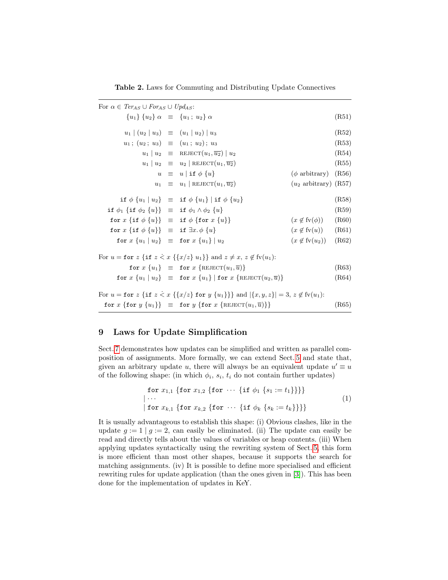<span id="page-12-5"></span><span id="page-12-3"></span><span id="page-12-2"></span><span id="page-12-1"></span>Table 2. Laws for Commuting and Distributing Update Connectives

| For $\alpha \in Ter_{AS} \cup For_{AS} \cup Upd_{AS}$ :                                                                          |  |                                                                                           |                                    |       |
|----------------------------------------------------------------------------------------------------------------------------------|--|-------------------------------------------------------------------------------------------|------------------------------------|-------|
| ${u_1} {u_2} \alpha \equiv {u_1; u_2} \alpha$                                                                                    |  |                                                                                           |                                    | (R51) |
| $u_1 (u_2 u_3) \equiv (u_1 u_2) u_3$                                                                                             |  |                                                                                           |                                    | (R52) |
| $u_1; (u_2; u_3) \equiv (u_1; u_2); u_3$                                                                                         |  |                                                                                           |                                    | (R53) |
|                                                                                                                                  |  | $u_1   u_2 \equiv \text{REJECT}(u_1, \overline{u_2})   u_2$                               |                                    | (R54) |
|                                                                                                                                  |  | $u_1 \mid u_2 \equiv u_2 \mid \text{REJECT}(u_1, \overline{u_2})$                         |                                    | (R55) |
|                                                                                                                                  |  | $u \equiv u   \text{ if } \phi \{u\}$                                                     | $(\phi \text{ arbitrary})$ (R56)   |       |
|                                                                                                                                  |  | $u_1 \equiv u_1  $ REJECT $(u_1, \overline{u_2})$                                         | $(u_2 \text{ arbitrary})$ (R57)    |       |
|                                                                                                                                  |  | if $\phi \{u_1 \mid u_2\}$ = if $\phi \{u_1\}$   if $\phi \{u_2\}$                        |                                    | (R58) |
| if $\phi_1$ {if $\phi_2$ {u}} $\equiv$ if $\phi_1 \wedge \phi_2$ {u}                                                             |  |                                                                                           |                                    | (R59) |
| for $x \{ \text{if } \phi \{u\} \} \equiv \text{if } \phi \{ \text{for } x \{u\} \}$                                             |  |                                                                                           | $(x \notin \text{fv}(\phi))$ (R60) |       |
| for $x \{ \text{if } \phi \{u\} \} \equiv \text{if } \exists x. \phi \{u\}$                                                      |  |                                                                                           | $(x \notin \text{fv}(u))$ (R61)    |       |
| for $x \{u_1 \mid u_2\}$ = for $x \{u_1\} \mid u_2$                                                                              |  |                                                                                           | $(x \notin \text{fv}(u_2))$ (R62)  |       |
| For $u =$ for $z \{ \text{if } z \leq x \{ \{x/z\} \} \}$ and $z \neq x, z \notin \text{fv}(u_1)$ :                              |  |                                                                                           |                                    |       |
|                                                                                                                                  |  | for $x \{u_1\} \equiv$ for $x \{\text{REJECT}(u_1, \overline{u})\}$                       |                                    | (R63) |
|                                                                                                                                  |  | for $x \{u_1 \mid u_2\}$ = for $x \{u_1\}$   for $x \{\text{REJECT}(u_2, \overline{u})\}$ |                                    | (R64) |
| For $u =$ for $z \{ \text{if } z < x \{ \{x/z\} \text{ for } y \{u_1\} \} \}$ and $ \{x, y, z\}  = 3, z \notin \text{fv}(u_1)$ : |  |                                                                                           |                                    |       |
|                                                                                                                                  |  | for $x \{$ for $y \{u_1\} \}$ = for $y \{$ for $x \{$ REJECT $(u_1,\overline{u})\}$ }     |                                    | (R65) |

# <span id="page-12-0"></span>9 Laws for Update Simplification

Sect. [7](#page-9-0) demonstrates how updates can be simplified and written as parallel composition of assignments. More formally, we can extend Sect. [5](#page-7-0) and state that, given an arbitrary update u, there will always be an equivalent update  $u' \equiv u$ of the following shape: (in which  $\phi_i$ ,  $s_i$ ,  $t_i$  do not contain further updates)

<span id="page-12-7"></span><span id="page-12-6"></span><span id="page-12-4"></span>for 
$$
x_{1,1}
$$
 {for  $x_{1,2}$  {for  $\cdots$  {if  $\phi_1$  { $s_1 := t_1$ }}}}  
\n| ...  
\n| for  $x_{k,1}$  {for  $x_{k,2}$  {for  $\cdots$  {if  $\phi_k$  { $s_k := t_k$ }}}}  
\n|

It is usually advantageous to establish this shape: (i) Obvious clashes, like in the update  $g := 1 | g := 2$ , can easily be eliminated. (ii) The update can easily be read and directly tells about the values of variables or heap contents. (iii) When applying updates syntactically using the rewriting system of Sect. [5,](#page-7-0) this form is more efficient than most other shapes, because it supports the search for matching assignments. (iv) It is possible to define more specialised and efficient rewriting rules for update application (than the ones given in [\[3\]](#page-14-2)). This has been done for the implementation of updates in KeY.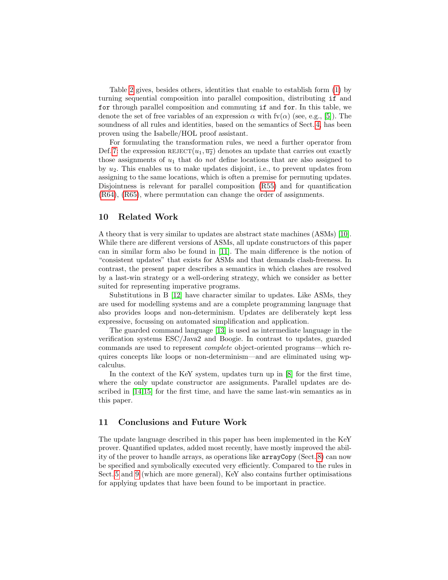Table [2](#page-12-3) gives, besides others, identities that enable to establish form [\(1\)](#page-12-4) by turning sequential composition into parallel composition, distributing if and for through parallel composition and commuting if and for. In this table, we denote the set of free variables of an expression  $\alpha$  with fv( $\alpha$ ) (see, e.g., [\[5\]](#page-14-4)). The soundness of all rules and identities, based on the semantics of Sect. [4,](#page-3-0) has been proven using the Isabelle/HOL proof assistant.

For formulating the transformation rules, we need a further operator from Def. [7:](#page-7-2) the expression  $REJECT(u_1, \overline{u_2})$  denotes an update that carries out exactly those assignments of  $u_1$  that do *not* define locations that are also assigned to by  $u_2$ . This enables us to make updates disjoint, i.e., to prevent updates from assigning to the same locations, which is often a premise for permuting updates. Disjointness is relevant for parallel composition [\(R55\)](#page-12-5) and for quantification [\(R64\)](#page-12-6), [\(R65\)](#page-12-7), where permutation can change the order of assignments.

#### 10 Related Work

A theory that is very similar to updates are abstract state machines (ASMs) [\[10\]](#page-14-9). While there are different versions of ASMs, all update constructors of this paper can in similar form also be found in [\[11\]](#page-14-10). The main difference is the notion of "consistent updates" that exists for ASMs and that demands clash-freeness. In contrast, the present paper describes a semantics in which clashes are resolved by a last-win strategy or a well-ordering strategy, which we consider as better suited for representing imperative programs.

Substitutions in B [\[12\]](#page-14-11) have character similar to updates. Like ASMs, they are used for modelling systems and are a complete programming language that also provides loops and non-determinism. Updates are deliberately kept less expressive, focussing on automated simplification and application.

The guarded command language [\[13\]](#page-14-12) is used as intermediate language in the verification systems ESC/Java2 and Boogie. In contrast to updates, guarded commands are used to represent complete object-oriented programs—which requires concepts like loops or non-determinism—and are eliminated using wpcalculus.

In the context of the KeY system, updates turn up in [\[8\]](#page-14-7) for the first time, where the only update constructor are assignments. Parallel updates are described in [\[14,](#page-14-13)[15\]](#page-14-14) for the first time, and have the same last-win semantics as in this paper.

# 11 Conclusions and Future Work

The update language described in this paper has been implemented in the KeY prover. Quantified updates, added most recently, have mostly improved the ability of the prover to handle arrays, as operations like arrayCopy (Sect. [8\)](#page-11-0) can now be specified and symbolically executed very efficiently. Compared to the rules in Sect. [5](#page-7-0) and [9](#page-12-0) (which are more general), KeY also contains further optimisations for applying updates that have been found to be important in practice.